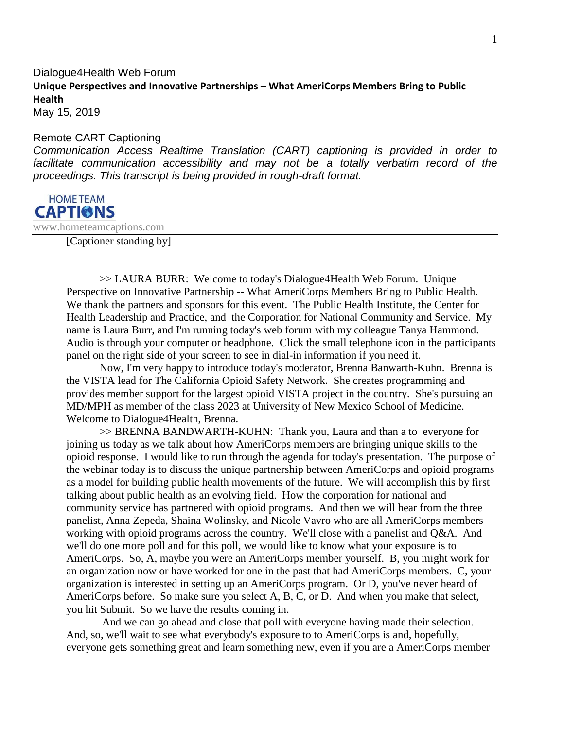## Dialogue4Health Web Forum **Unique Perspectives and Innovative Partnerships – What AmeriCorps Members Bring to Public Health**

May 15, 2019

## Remote CART Captioning

*Communication Access Realtime Translation (CART) captioning is provided in order to*  facilitate communication accessibility and may not be a totally verbatim record of the *proceedings. This transcript is being provided in rough-draft format.*



www.hometeamcaptions.com

[Captioner standing by]

>> LAURA BURR: Welcome to today's Dialogue4Health Web Forum. Unique Perspective on Innovative Partnership -- What AmeriCorps Members Bring to Public Health. We thank the partners and sponsors for this event. The Public Health Institute, the Center for Health Leadership and Practice, and the Corporation for National Community and Service. My name is Laura Burr, and I'm running today's web forum with my colleague Tanya Hammond. Audio is through your computer or headphone. Click the small telephone icon in the participants panel on the right side of your screen to see in dial-in information if you need it.

Now, I'm very happy to introduce today's moderator, Brenna Banwarth-Kuhn. Brenna is the VISTA lead for The California Opioid Safety Network. She creates programming and provides member support for the largest opioid VISTA project in the country. She's pursuing an MD/MPH as member of the class 2023 at University of New Mexico School of Medicine. Welcome to Dialogue4Health, Brenna.

>> BRENNA BANDWARTH-KUHN: Thank you, Laura and than a to everyone for joining us today as we talk about how AmeriCorps members are bringing unique skills to the opioid response. I would like to run through the agenda for today's presentation. The purpose of the webinar today is to discuss the unique partnership between AmeriCorps and opioid programs as a model for building public health movements of the future. We will accomplish this by first talking about public health as an evolving field. How the corporation for national and community service has partnered with opioid programs. And then we will hear from the three panelist, Anna Zepeda, Shaina Wolinsky, and Nicole Vavro who are all AmeriCorps members working with opioid programs across the country. We'll close with a panelist and Q&A. And we'll do one more poll and for this poll, we would like to know what your exposure is to AmeriCorps. So, A, maybe you were an AmeriCorps member yourself. B, you might work for an organization now or have worked for one in the past that had AmeriCorps members. C, your organization is interested in setting up an AmeriCorps program. Or D, you've never heard of AmeriCorps before. So make sure you select A, B, C, or D. And when you make that select, you hit Submit. So we have the results coming in.

And we can go ahead and close that poll with everyone having made their selection. And, so, we'll wait to see what everybody's exposure to to AmeriCorps is and, hopefully, everyone gets something great and learn something new, even if you are a AmeriCorps member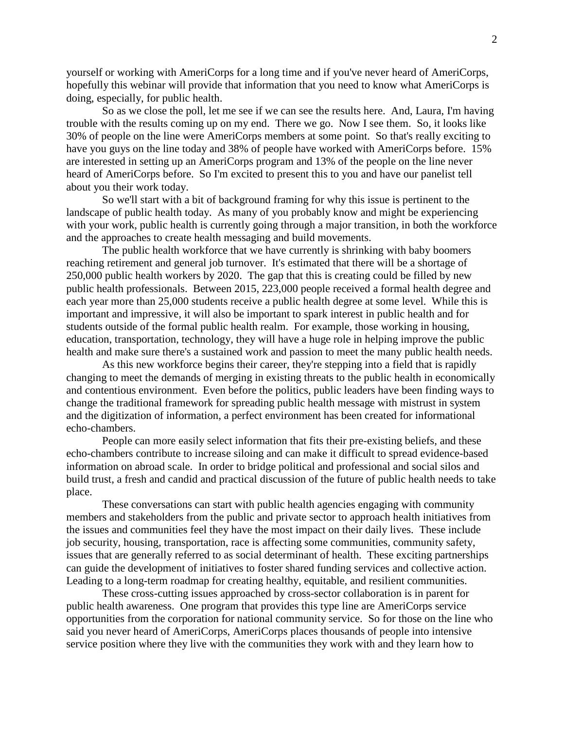yourself or working with AmeriCorps for a long time and if you've never heard of AmeriCorps, hopefully this webinar will provide that information that you need to know what AmeriCorps is doing, especially, for public health.

So as we close the poll, let me see if we can see the results here. And, Laura, I'm having trouble with the results coming up on my end. There we go. Now I see them. So, it looks like 30% of people on the line were AmeriCorps members at some point. So that's really exciting to have you guys on the line today and 38% of people have worked with AmeriCorps before. 15% are interested in setting up an AmeriCorps program and 13% of the people on the line never heard of AmeriCorps before. So I'm excited to present this to you and have our panelist tell about you their work today.

So we'll start with a bit of background framing for why this issue is pertinent to the landscape of public health today. As many of you probably know and might be experiencing with your work, public health is currently going through a major transition, in both the workforce and the approaches to create health messaging and build movements.

The public health workforce that we have currently is shrinking with baby boomers reaching retirement and general job turnover. It's estimated that there will be a shortage of 250,000 public health workers by 2020. The gap that this is creating could be filled by new public health professionals. Between 2015, 223,000 people received a formal health degree and each year more than 25,000 students receive a public health degree at some level. While this is important and impressive, it will also be important to spark interest in public health and for students outside of the formal public health realm. For example, those working in housing, education, transportation, technology, they will have a huge role in helping improve the public health and make sure there's a sustained work and passion to meet the many public health needs.

As this new workforce begins their career, they're stepping into a field that is rapidly changing to meet the demands of merging in existing threats to the public health in economically and contentious environment. Even before the politics, public leaders have been finding ways to change the traditional framework for spreading public health message with mistrust in system and the digitization of information, a perfect environment has been created for informational echo-chambers.

People can more easily select information that fits their pre-existing beliefs, and these echo-chambers contribute to increase siloing and can make it difficult to spread evidence-based information on abroad scale. In order to bridge political and professional and social silos and build trust, a fresh and candid and practical discussion of the future of public health needs to take place.

These conversations can start with public health agencies engaging with community members and stakeholders from the public and private sector to approach health initiatives from the issues and communities feel they have the most impact on their daily lives. These include job security, housing, transportation, race is affecting some communities, community safety, issues that are generally referred to as social determinant of health. These exciting partnerships can guide the development of initiatives to foster shared funding services and collective action. Leading to a long-term roadmap for creating healthy, equitable, and resilient communities.

These cross-cutting issues approached by cross-sector collaboration is in parent for public health awareness. One program that provides this type line are AmeriCorps service opportunities from the corporation for national community service. So for those on the line who said you never heard of AmeriCorps, AmeriCorps places thousands of people into intensive service position where they live with the communities they work with and they learn how to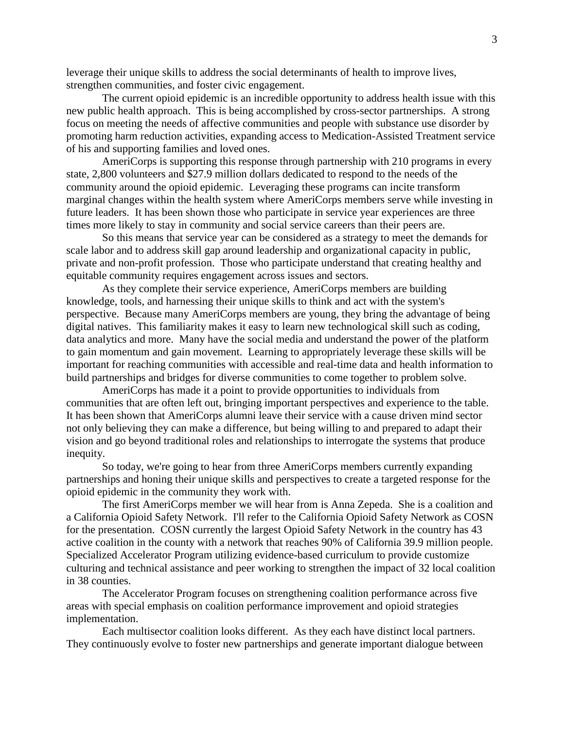leverage their unique skills to address the social determinants of health to improve lives, strengthen communities, and foster civic engagement.

The current opioid epidemic is an incredible opportunity to address health issue with this new public health approach. This is being accomplished by cross-sector partnerships. A strong focus on meeting the needs of affective communities and people with substance use disorder by promoting harm reduction activities, expanding access to Medication-Assisted Treatment service of his and supporting families and loved ones.

AmeriCorps is supporting this response through partnership with 210 programs in every state, 2,800 volunteers and \$27.9 million dollars dedicated to respond to the needs of the community around the opioid epidemic. Leveraging these programs can incite transform marginal changes within the health system where AmeriCorps members serve while investing in future leaders. It has been shown those who participate in service year experiences are three times more likely to stay in community and social service careers than their peers are.

So this means that service year can be considered as a strategy to meet the demands for scale labor and to address skill gap around leadership and organizational capacity in public, private and non-profit profession. Those who participate understand that creating healthy and equitable community requires engagement across issues and sectors.

As they complete their service experience, AmeriCorps members are building knowledge, tools, and harnessing their unique skills to think and act with the system's perspective. Because many AmeriCorps members are young, they bring the advantage of being digital natives. This familiarity makes it easy to learn new technological skill such as coding, data analytics and more. Many have the social media and understand the power of the platform to gain momentum and gain movement. Learning to appropriately leverage these skills will be important for reaching communities with accessible and real-time data and health information to build partnerships and bridges for diverse communities to come together to problem solve.

AmeriCorps has made it a point to provide opportunities to individuals from communities that are often left out, bringing important perspectives and experience to the table. It has been shown that AmeriCorps alumni leave their service with a cause driven mind sector not only believing they can make a difference, but being willing to and prepared to adapt their vision and go beyond traditional roles and relationships to interrogate the systems that produce inequity.

So today, we're going to hear from three AmeriCorps members currently expanding partnerships and honing their unique skills and perspectives to create a targeted response for the opioid epidemic in the community they work with.

The first AmeriCorps member we will hear from is Anna Zepeda. She is a coalition and a California Opioid Safety Network. I'll refer to the California Opioid Safety Network as COSN for the presentation. COSN currently the largest Opioid Safety Network in the country has 43 active coalition in the county with a network that reaches 90% of California 39.9 million people. Specialized Accelerator Program utilizing evidence-based curriculum to provide customize culturing and technical assistance and peer working to strengthen the impact of 32 local coalition in 38 counties.

The Accelerator Program focuses on strengthening coalition performance across five areas with special emphasis on coalition performance improvement and opioid strategies implementation.

Each multisector coalition looks different. As they each have distinct local partners. They continuously evolve to foster new partnerships and generate important dialogue between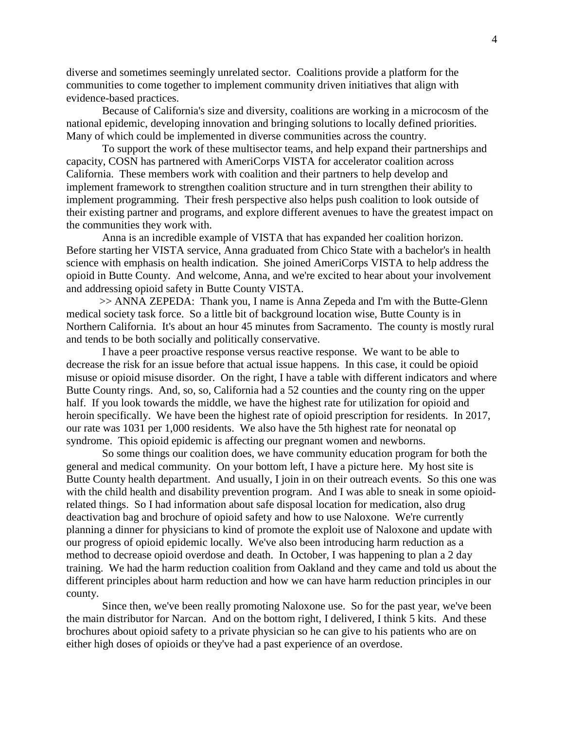diverse and sometimes seemingly unrelated sector. Coalitions provide a platform for the communities to come together to implement community driven initiatives that align with evidence-based practices.

Because of California's size and diversity, coalitions are working in a microcosm of the national epidemic, developing innovation and bringing solutions to locally defined priorities. Many of which could be implemented in diverse communities across the country.

To support the work of these multisector teams, and help expand their partnerships and capacity, COSN has partnered with AmeriCorps VISTA for accelerator coalition across California. These members work with coalition and their partners to help develop and implement framework to strengthen coalition structure and in turn strengthen their ability to implement programming. Their fresh perspective also helps push coalition to look outside of their existing partner and programs, and explore different avenues to have the greatest impact on the communities they work with.

Anna is an incredible example of VISTA that has expanded her coalition horizon. Before starting her VISTA service, Anna graduated from Chico State with a bachelor's in health science with emphasis on health indication. She joined AmeriCorps VISTA to help address the opioid in Butte County. And welcome, Anna, and we're excited to hear about your involvement and addressing opioid safety in Butte County VISTA.

>> ANNA ZEPEDA: Thank you, I name is Anna Zepeda and I'm with the Butte-Glenn medical society task force. So a little bit of background location wise, Butte County is in Northern California. It's about an hour 45 minutes from Sacramento. The county is mostly rural and tends to be both socially and politically conservative.

I have a peer proactive response versus reactive response. We want to be able to decrease the risk for an issue before that actual issue happens. In this case, it could be opioid misuse or opioid misuse disorder. On the right, I have a table with different indicators and where Butte County rings. And, so, so, California had a 52 counties and the county ring on the upper half. If you look towards the middle, we have the highest rate for utilization for opioid and heroin specifically. We have been the highest rate of opioid prescription for residents. In 2017, our rate was 1031 per 1,000 residents. We also have the 5th highest rate for neonatal op syndrome. This opioid epidemic is affecting our pregnant women and newborns.

So some things our coalition does, we have community education program for both the general and medical community. On your bottom left, I have a picture here. My host site is Butte County health department. And usually, I join in on their outreach events. So this one was with the child health and disability prevention program. And I was able to sneak in some opioidrelated things. So I had information about safe disposal location for medication, also drug deactivation bag and brochure of opioid safety and how to use Naloxone. We're currently planning a dinner for physicians to kind of promote the exploit use of Naloxone and update with our progress of opioid epidemic locally. We've also been introducing harm reduction as a method to decrease opioid overdose and death. In October, I was happening to plan a 2 day training. We had the harm reduction coalition from Oakland and they came and told us about the different principles about harm reduction and how we can have harm reduction principles in our county.

Since then, we've been really promoting Naloxone use. So for the past year, we've been the main distributor for Narcan. And on the bottom right, I delivered, I think 5 kits. And these brochures about opioid safety to a private physician so he can give to his patients who are on either high doses of opioids or they've had a past experience of an overdose.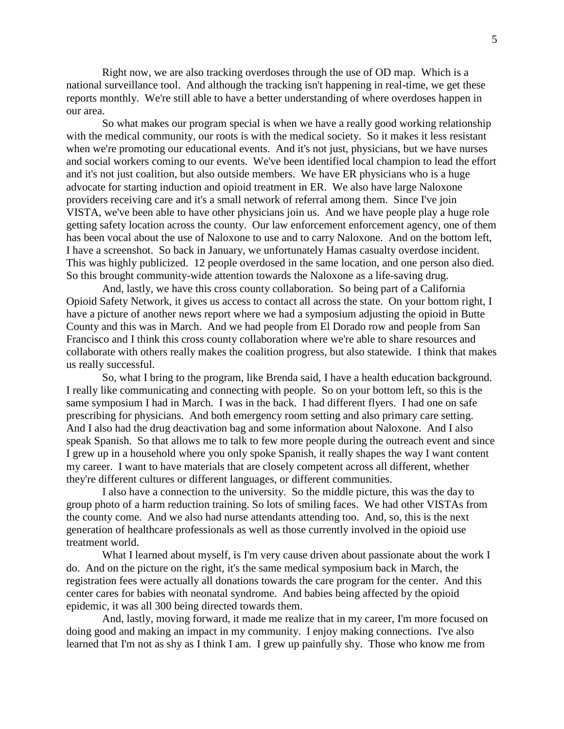Right now, we are also tracking overdoses through the use of OD map. Which is a national surveillance tool. And although the tracking isn't happening in real-time, we get these reports monthly. We're still able to have a better understanding of where overdoses happen in our area.

So what makes our program special is when we have a really good working relationship with the medical community, our roots is with the medical society. So it makes it less resistant when we're promoting our educational events. And it's not just, physicians, but we have nurses and social workers coming to our events. We've been identified local champion to lead the effort and it's not just coalition, but also outside members. We have ER physicians who is a huge advocate for starting induction and opioid treatment in ER. We also have large Naloxone providers receiving care and it's a small network of referral among them. Since I've join VISTA, we've been able to have other physicians join us. And we have people play a huge role getting safety location across the county. Our law enforcement enforcement agency, one of them has been vocal about the use of Naloxone to use and to carry Naloxone. And on the bottom left, I have a screenshot. So back in January, we unfortunately Hamas casualty overdose incident. This was highly publicized. 12 people overdosed in the same location, and one person also died. So this brought community-wide attention towards the Naloxone as a life-saving drug.

And, lastly, we have this cross county collaboration. So being part of a California Opioid Safety Network, it gives us access to contact all across the state. On your bottom right, I have a picture of another news report where we had a symposium adjusting the opioid in Butte County and this was in March. And we had people from El Dorado row and people from San Francisco and I think this cross county collaboration where we're able to share resources and collaborate with others really makes the coalition progress, but also statewide. I think that makes us really successful.

So, what I bring to the program, like Brenda said, I have a health education background. I really like communicating and connecting with people. So on your bottom left, so this is the same symposium I had in March. I was in the back. I had different flyers. I had one on safe prescribing for physicians. And both emergency room setting and also primary care setting. And I also had the drug deactivation bag and some information about Naloxone. And I also speak Spanish. So that allows me to talk to few more people during the outreach event and since I grew up in a household where you only spoke Spanish, it really shapes the way I want content my career. I want to have materials that are closely competent across all different, whether they're different cultures or different languages, or different communities.

I also have a connection to the university. So the middle picture, this was the day to group photo of a harm reduction training. So lots of smiling faces. We had other VISTAs from the county come. And we also had nurse attendants attending too. And, so, this is the next generation of healthcare professionals as well as those currently involved in the opioid use treatment world.

What I learned about myself, is I'm very cause driven about passionate about the work I do. And on the picture on the right, it's the same medical symposium back in March, the registration fees were actually all donations towards the care program for the center. And this center cares for babies with neonatal syndrome. And babies being affected by the opioid epidemic, it was all 300 being directed towards them.

And, lastly, moving forward, it made me realize that in my career, I'm more focused on doing good and making an impact in my community. I enjoy making connections. I've also learned that I'm not as shy as I think I am. I grew up painfully shy. Those who know me from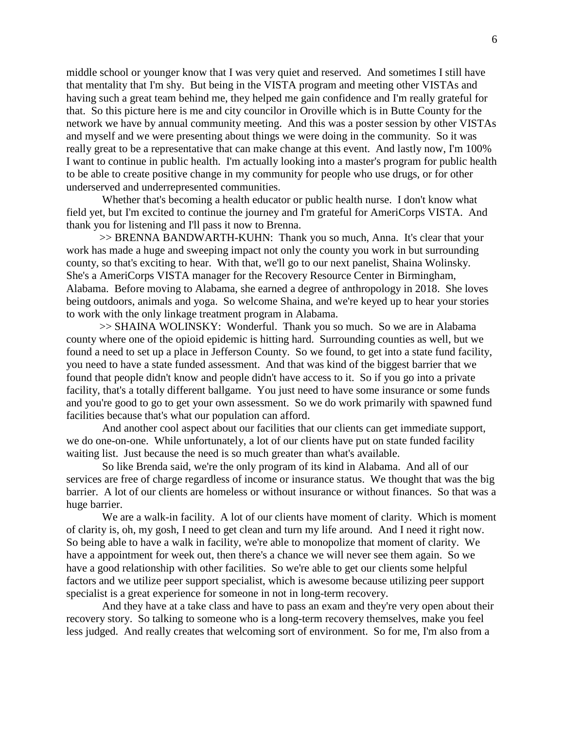middle school or younger know that I was very quiet and reserved. And sometimes I still have that mentality that I'm shy. But being in the VISTA program and meeting other VISTAs and having such a great team behind me, they helped me gain confidence and I'm really grateful for that. So this picture here is me and city councilor in Oroville which is in Butte County for the network we have by annual community meeting. And this was a poster session by other VISTAs and myself and we were presenting about things we were doing in the community. So it was really great to be a representative that can make change at this event. And lastly now, I'm 100% I want to continue in public health. I'm actually looking into a master's program for public health to be able to create positive change in my community for people who use drugs, or for other underserved and underrepresented communities.

Whether that's becoming a health educator or public health nurse. I don't know what field yet, but I'm excited to continue the journey and I'm grateful for AmeriCorps VISTA. And thank you for listening and I'll pass it now to Brenna.

>> BRENNA BANDWARTH-KUHN: Thank you so much, Anna. It's clear that your work has made a huge and sweeping impact not only the county you work in but surrounding county, so that's exciting to hear. With that, we'll go to our next panelist, Shaina Wolinsky. She's a AmeriCorps VISTA manager for the Recovery Resource Center in Birmingham, Alabama. Before moving to Alabama, she earned a degree of anthropology in 2018. She loves being outdoors, animals and yoga. So welcome Shaina, and we're keyed up to hear your stories to work with the only linkage treatment program in Alabama.

>> SHAINA WOLINSKY: Wonderful. Thank you so much. So we are in Alabama county where one of the opioid epidemic is hitting hard. Surrounding counties as well, but we found a need to set up a place in Jefferson County. So we found, to get into a state fund facility, you need to have a state funded assessment. And that was kind of the biggest barrier that we found that people didn't know and people didn't have access to it. So if you go into a private facility, that's a totally different ballgame. You just need to have some insurance or some funds and you're good to go to get your own assessment. So we do work primarily with spawned fund facilities because that's what our population can afford.

And another cool aspect about our facilities that our clients can get immediate support, we do one-on-one. While unfortunately, a lot of our clients have put on state funded facility waiting list. Just because the need is so much greater than what's available.

So like Brenda said, we're the only program of its kind in Alabama. And all of our services are free of charge regardless of income or insurance status. We thought that was the big barrier. A lot of our clients are homeless or without insurance or without finances. So that was a huge barrier.

We are a walk-in facility. A lot of our clients have moment of clarity. Which is moment of clarity is, oh, my gosh, I need to get clean and turn my life around. And I need it right now. So being able to have a walk in facility, we're able to monopolize that moment of clarity. We have a appointment for week out, then there's a chance we will never see them again. So we have a good relationship with other facilities. So we're able to get our clients some helpful factors and we utilize peer support specialist, which is awesome because utilizing peer support specialist is a great experience for someone in not in long-term recovery.

And they have at a take class and have to pass an exam and they're very open about their recovery story. So talking to someone who is a long-term recovery themselves, make you feel less judged. And really creates that welcoming sort of environment. So for me, I'm also from a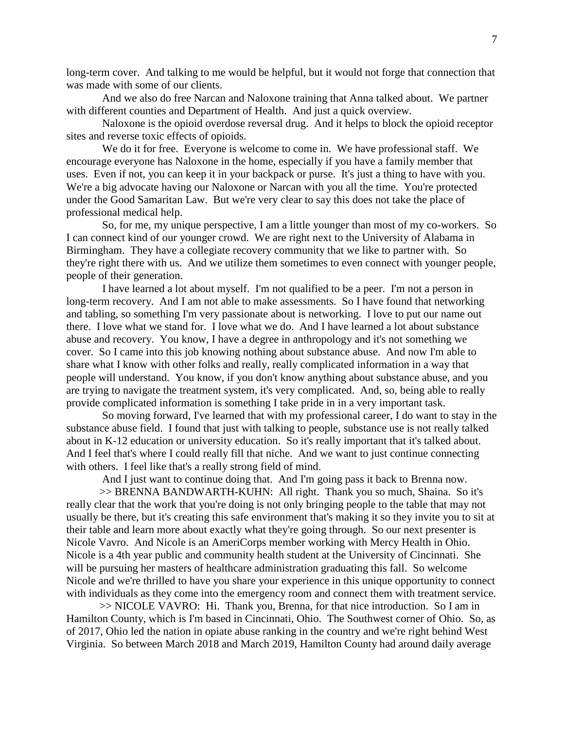long-term cover. And talking to me would be helpful, but it would not forge that connection that was made with some of our clients.

And we also do free Narcan and Naloxone training that Anna talked about. We partner with different counties and Department of Health. And just a quick overview.

Naloxone is the opioid overdose reversal drug. And it helps to block the opioid receptor sites and reverse toxic effects of opioids.

We do it for free. Everyone is welcome to come in. We have professional staff. We encourage everyone has Naloxone in the home, especially if you have a family member that uses. Even if not, you can keep it in your backpack or purse. It's just a thing to have with you. We're a big advocate having our Naloxone or Narcan with you all the time. You're protected under the Good Samaritan Law. But we're very clear to say this does not take the place of professional medical help.

So, for me, my unique perspective, I am a little younger than most of my co-workers. So I can connect kind of our younger crowd. We are right next to the University of Alabama in Birmingham. They have a collegiate recovery community that we like to partner with. So they're right there with us. And we utilize them sometimes to even connect with younger people, people of their generation.

I have learned a lot about myself. I'm not qualified to be a peer. I'm not a person in long-term recovery. And I am not able to make assessments. So I have found that networking and tabling, so something I'm very passionate about is networking. I love to put our name out there. I love what we stand for. I love what we do. And I have learned a lot about substance abuse and recovery. You know, I have a degree in anthropology and it's not something we cover. So I came into this job knowing nothing about substance abuse. And now I'm able to share what I know with other folks and really, really complicated information in a way that people will understand. You know, if you don't know anything about substance abuse, and you are trying to navigate the treatment system, it's very complicated. And, so, being able to really provide complicated information is something I take pride in in a very important task.

So moving forward, I've learned that with my professional career, I do want to stay in the substance abuse field. I found that just with talking to people, substance use is not really talked about in K-12 education or university education. So it's really important that it's talked about. And I feel that's where I could really fill that niche. And we want to just continue connecting with others. I feel like that's a really strong field of mind.

And I just want to continue doing that. And I'm going pass it back to Brenna now.

>> BRENNA BANDWARTH-KUHN: All right. Thank you so much, Shaina. So it's really clear that the work that you're doing is not only bringing people to the table that may not usually be there, but it's creating this safe environment that's making it so they invite you to sit at their table and learn more about exactly what they're going through. So our next presenter is Nicole Vavro. And Nicole is an AmeriCorps member working with Mercy Health in Ohio. Nicole is a 4th year public and community health student at the University of Cincinnati. She will be pursuing her masters of healthcare administration graduating this fall. So welcome Nicole and we're thrilled to have you share your experience in this unique opportunity to connect with individuals as they come into the emergency room and connect them with treatment service.

>> NICOLE VAVRO: Hi. Thank you, Brenna, for that nice introduction. So I am in Hamilton County, which is I'm based in Cincinnati, Ohio. The Southwest corner of Ohio. So, as of 2017, Ohio led the nation in opiate abuse ranking in the country and we're right behind West Virginia. So between March 2018 and March 2019, Hamilton County had around daily average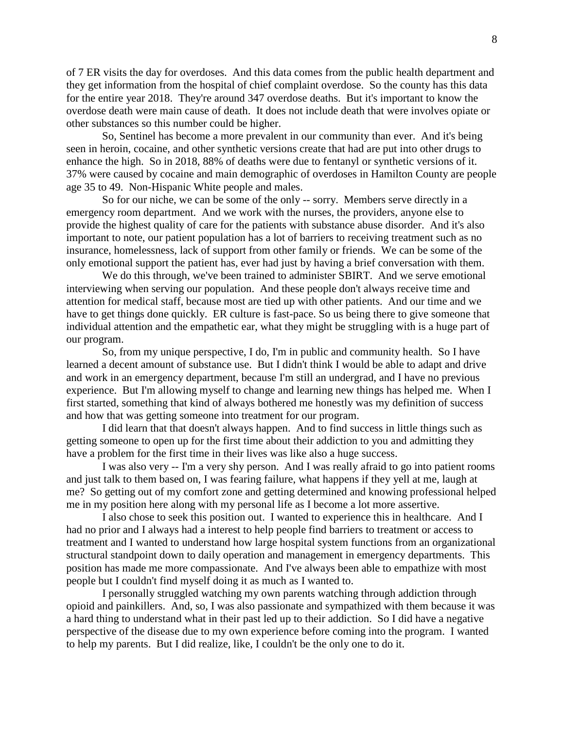of 7 ER visits the day for overdoses. And this data comes from the public health department and they get information from the hospital of chief complaint overdose. So the county has this data for the entire year 2018. They're around 347 overdose deaths. But it's important to know the overdose death were main cause of death. It does not include death that were involves opiate or other substances so this number could be higher.

So, Sentinel has become a more prevalent in our community than ever. And it's being seen in heroin, cocaine, and other synthetic versions create that had are put into other drugs to enhance the high. So in 2018, 88% of deaths were due to fentanyl or synthetic versions of it. 37% were caused by cocaine and main demographic of overdoses in Hamilton County are people age 35 to 49. Non-Hispanic White people and males.

So for our niche, we can be some of the only -- sorry. Members serve directly in a emergency room department. And we work with the nurses, the providers, anyone else to provide the highest quality of care for the patients with substance abuse disorder. And it's also important to note, our patient population has a lot of barriers to receiving treatment such as no insurance, homelessness, lack of support from other family or friends. We can be some of the only emotional support the patient has, ever had just by having a brief conversation with them.

We do this through, we've been trained to administer SBIRT. And we serve emotional interviewing when serving our population. And these people don't always receive time and attention for medical staff, because most are tied up with other patients. And our time and we have to get things done quickly. ER culture is fast-pace. So us being there to give someone that individual attention and the empathetic ear, what they might be struggling with is a huge part of our program.

So, from my unique perspective, I do, I'm in public and community health. So I have learned a decent amount of substance use. But I didn't think I would be able to adapt and drive and work in an emergency department, because I'm still an undergrad, and I have no previous experience. But I'm allowing myself to change and learning new things has helped me. When I first started, something that kind of always bothered me honestly was my definition of success and how that was getting someone into treatment for our program.

I did learn that that doesn't always happen. And to find success in little things such as getting someone to open up for the first time about their addiction to you and admitting they have a problem for the first time in their lives was like also a huge success.

I was also very -- I'm a very shy person. And I was really afraid to go into patient rooms and just talk to them based on, I was fearing failure, what happens if they yell at me, laugh at me? So getting out of my comfort zone and getting determined and knowing professional helped me in my position here along with my personal life as I become a lot more assertive.

I also chose to seek this position out. I wanted to experience this in healthcare. And I had no prior and I always had a interest to help people find barriers to treatment or access to treatment and I wanted to understand how large hospital system functions from an organizational structural standpoint down to daily operation and management in emergency departments. This position has made me more compassionate. And I've always been able to empathize with most people but I couldn't find myself doing it as much as I wanted to.

I personally struggled watching my own parents watching through addiction through opioid and painkillers. And, so, I was also passionate and sympathized with them because it was a hard thing to understand what in their past led up to their addiction. So I did have a negative perspective of the disease due to my own experience before coming into the program. I wanted to help my parents. But I did realize, like, I couldn't be the only one to do it.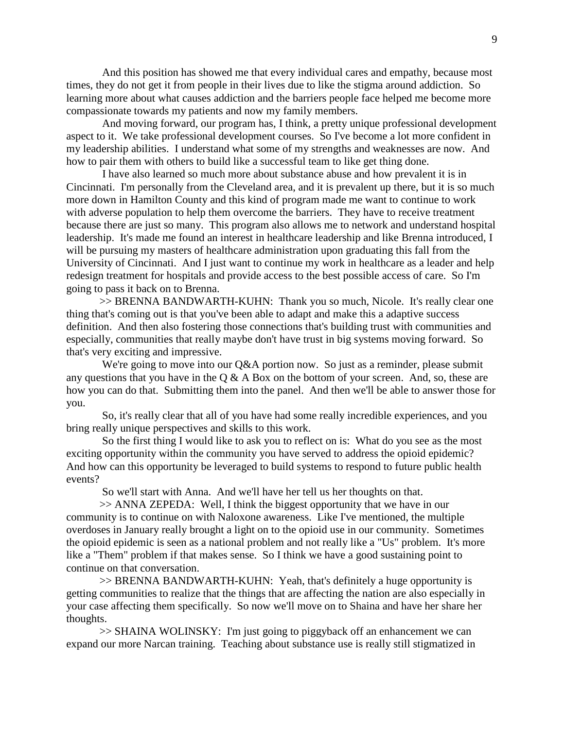And this position has showed me that every individual cares and empathy, because most times, they do not get it from people in their lives due to like the stigma around addiction. So learning more about what causes addiction and the barriers people face helped me become more compassionate towards my patients and now my family members.

And moving forward, our program has, I think, a pretty unique professional development aspect to it. We take professional development courses. So I've become a lot more confident in my leadership abilities. I understand what some of my strengths and weaknesses are now. And how to pair them with others to build like a successful team to like get thing done.

I have also learned so much more about substance abuse and how prevalent it is in Cincinnati. I'm personally from the Cleveland area, and it is prevalent up there, but it is so much more down in Hamilton County and this kind of program made me want to continue to work with adverse population to help them overcome the barriers. They have to receive treatment because there are just so many. This program also allows me to network and understand hospital leadership. It's made me found an interest in healthcare leadership and like Brenna introduced, I will be pursuing my masters of healthcare administration upon graduating this fall from the University of Cincinnati. And I just want to continue my work in healthcare as a leader and help redesign treatment for hospitals and provide access to the best possible access of care. So I'm going to pass it back on to Brenna.

>> BRENNA BANDWARTH-KUHN: Thank you so much, Nicole. It's really clear one thing that's coming out is that you've been able to adapt and make this a adaptive success definition. And then also fostering those connections that's building trust with communities and especially, communities that really maybe don't have trust in big systems moving forward. So that's very exciting and impressive.

We're going to move into our Q&A portion now. So just as a reminder, please submit any questions that you have in the  $Q & A$  Box on the bottom of your screen. And, so, these are how you can do that. Submitting them into the panel. And then we'll be able to answer those for you.

So, it's really clear that all of you have had some really incredible experiences, and you bring really unique perspectives and skills to this work.

So the first thing I would like to ask you to reflect on is: What do you see as the most exciting opportunity within the community you have served to address the opioid epidemic? And how can this opportunity be leveraged to build systems to respond to future public health events?

So we'll start with Anna. And we'll have her tell us her thoughts on that.

>> ANNA ZEPEDA: Well, I think the biggest opportunity that we have in our community is to continue on with Naloxone awareness. Like I've mentioned, the multiple overdoses in January really brought a light on to the opioid use in our community. Sometimes the opioid epidemic is seen as a national problem and not really like a "Us" problem. It's more like a "Them" problem if that makes sense. So I think we have a good sustaining point to continue on that conversation.

>> BRENNA BANDWARTH-KUHN: Yeah, that's definitely a huge opportunity is getting communities to realize that the things that are affecting the nation are also especially in your case affecting them specifically. So now we'll move on to Shaina and have her share her thoughts.

>> SHAINA WOLINSKY: I'm just going to piggyback off an enhancement we can expand our more Narcan training. Teaching about substance use is really still stigmatized in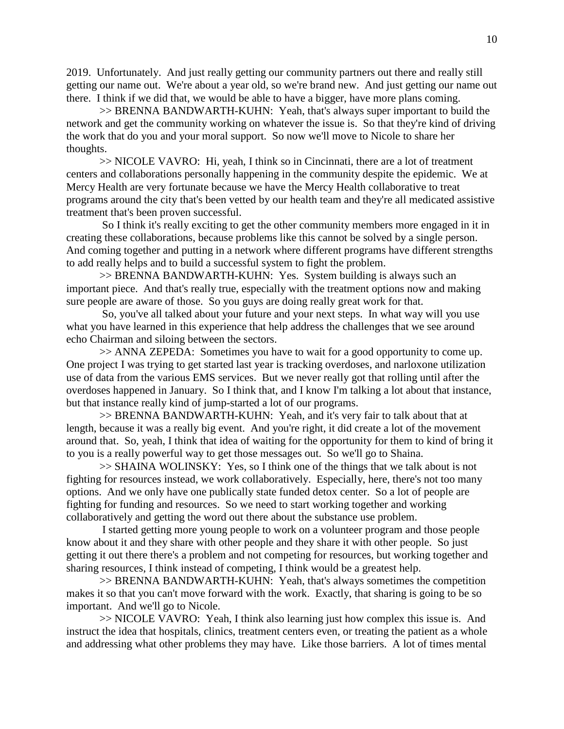2019. Unfortunately. And just really getting our community partners out there and really still getting our name out. We're about a year old, so we're brand new. And just getting our name out there. I think if we did that, we would be able to have a bigger, have more plans coming.

>> BRENNA BANDWARTH-KUHN: Yeah, that's always super important to build the network and get the community working on whatever the issue is. So that they're kind of driving the work that do you and your moral support. So now we'll move to Nicole to share her thoughts.

>> NICOLE VAVRO: Hi, yeah, I think so in Cincinnati, there are a lot of treatment centers and collaborations personally happening in the community despite the epidemic. We at Mercy Health are very fortunate because we have the Mercy Health collaborative to treat programs around the city that's been vetted by our health team and they're all medicated assistive treatment that's been proven successful.

So I think it's really exciting to get the other community members more engaged in it in creating these collaborations, because problems like this cannot be solved by a single person. And coming together and putting in a network where different programs have different strengths to add really helps and to build a successful system to fight the problem.

>> BRENNA BANDWARTH-KUHN: Yes. System building is always such an important piece. And that's really true, especially with the treatment options now and making sure people are aware of those. So you guys are doing really great work for that.

So, you've all talked about your future and your next steps. In what way will you use what you have learned in this experience that help address the challenges that we see around echo Chairman and siloing between the sectors.

>> ANNA ZEPEDA: Sometimes you have to wait for a good opportunity to come up. One project I was trying to get started last year is tracking overdoses, and narloxone utilization use of data from the various EMS services. But we never really got that rolling until after the overdoses happened in January. So I think that, and I know I'm talking a lot about that instance, but that instance really kind of jump-started a lot of our programs.

>> BRENNA BANDWARTH-KUHN: Yeah, and it's very fair to talk about that at length, because it was a really big event. And you're right, it did create a lot of the movement around that. So, yeah, I think that idea of waiting for the opportunity for them to kind of bring it to you is a really powerful way to get those messages out. So we'll go to Shaina.

>> SHAINA WOLINSKY: Yes, so I think one of the things that we talk about is not fighting for resources instead, we work collaboratively. Especially, here, there's not too many options. And we only have one publically state funded detox center. So a lot of people are fighting for funding and resources. So we need to start working together and working collaboratively and getting the word out there about the substance use problem.

I started getting more young people to work on a volunteer program and those people know about it and they share with other people and they share it with other people. So just getting it out there there's a problem and not competing for resources, but working together and sharing resources, I think instead of competing, I think would be a greatest help.

>> BRENNA BANDWARTH-KUHN: Yeah, that's always sometimes the competition makes it so that you can't move forward with the work. Exactly, that sharing is going to be so important. And we'll go to Nicole.

>> NICOLE VAVRO: Yeah, I think also learning just how complex this issue is. And instruct the idea that hospitals, clinics, treatment centers even, or treating the patient as a whole and addressing what other problems they may have. Like those barriers. A lot of times mental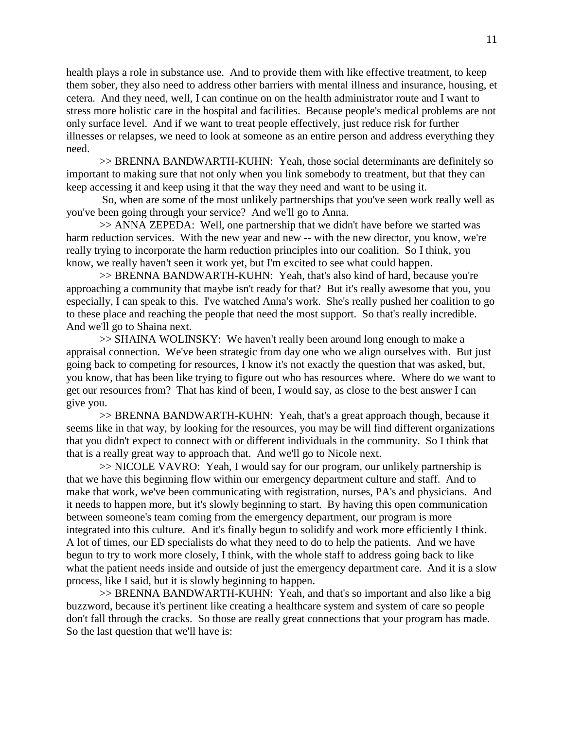health plays a role in substance use. And to provide them with like effective treatment, to keep them sober, they also need to address other barriers with mental illness and insurance, housing, et cetera. And they need, well, I can continue on on the health administrator route and I want to stress more holistic care in the hospital and facilities. Because people's medical problems are not only surface level. And if we want to treat people effectively, just reduce risk for further illnesses or relapses, we need to look at someone as an entire person and address everything they need.

>> BRENNA BANDWARTH-KUHN: Yeah, those social determinants are definitely so important to making sure that not only when you link somebody to treatment, but that they can keep accessing it and keep using it that the way they need and want to be using it.

So, when are some of the most unlikely partnerships that you've seen work really well as you've been going through your service? And we'll go to Anna.

>> ANNA ZEPEDA: Well, one partnership that we didn't have before we started was harm reduction services. With the new year and new -- with the new director, you know, we're really trying to incorporate the harm reduction principles into our coalition. So I think, you know, we really haven't seen it work yet, but I'm excited to see what could happen.

>> BRENNA BANDWARTH-KUHN: Yeah, that's also kind of hard, because you're approaching a community that maybe isn't ready for that? But it's really awesome that you, you especially, I can speak to this. I've watched Anna's work. She's really pushed her coalition to go to these place and reaching the people that need the most support. So that's really incredible. And we'll go to Shaina next.

>> SHAINA WOLINSKY: We haven't really been around long enough to make a appraisal connection. We've been strategic from day one who we align ourselves with. But just going back to competing for resources, I know it's not exactly the question that was asked, but, you know, that has been like trying to figure out who has resources where. Where do we want to get our resources from? That has kind of been, I would say, as close to the best answer I can give you.

>> BRENNA BANDWARTH-KUHN: Yeah, that's a great approach though, because it seems like in that way, by looking for the resources, you may be will find different organizations that you didn't expect to connect with or different individuals in the community. So I think that that is a really great way to approach that. And we'll go to Nicole next.

>> NICOLE VAVRO: Yeah, I would say for our program, our unlikely partnership is that we have this beginning flow within our emergency department culture and staff. And to make that work, we've been communicating with registration, nurses, PA's and physicians. And it needs to happen more, but it's slowly beginning to start. By having this open communication between someone's team coming from the emergency department, our program is more integrated into this culture. And it's finally begun to solidify and work more efficiently I think. A lot of times, our ED specialists do what they need to do to help the patients. And we have begun to try to work more closely, I think, with the whole staff to address going back to like what the patient needs inside and outside of just the emergency department care. And it is a slow process, like I said, but it is slowly beginning to happen.

>> BRENNA BANDWARTH-KUHN: Yeah, and that's so important and also like a big buzzword, because it's pertinent like creating a healthcare system and system of care so people don't fall through the cracks. So those are really great connections that your program has made. So the last question that we'll have is: